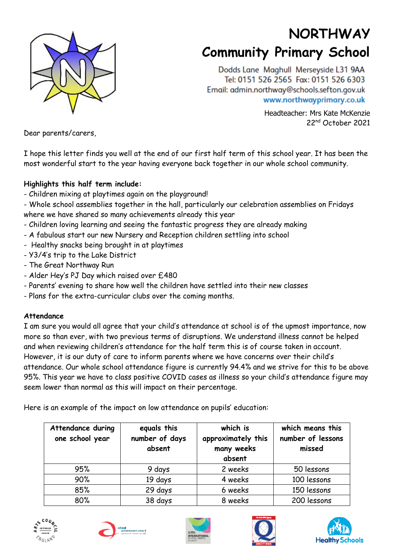

# **NORTHWAY Community Primary School**

Dodds Lane Maghull Merseyside L31 9AA Tel: 0151 526 2565 Fax: 0151 526 6303 Email: admin.northway@schools.sefton.gov.uk www.northwayprimary.co.uk

> Headteacher: Mrs Kate McKenzie 22nd October 2021

Dear parents/carers,

I hope this letter finds you well at the end of our first half term of this school year. It has been the most wonderful start to the year having everyone back together in our whole school community.

### **Highlights this half term include:**

- Children mixing at playtimes again on the playground!
- Whole school assemblies together in the hall, particularly our celebration assemblies on Fridays where we have shared so many achievements already this year
- Children loving learning and seeing the fantastic progress they are already making
- A fabulous start our new Nursery and Reception children settling into school
- Healthy snacks being brought in at playtimes
- Y3/4's trip to the Lake District
- The Great Northway Run
- Alder Hey's PJ Day which raised over £480
- Parents' evening to share how well the children have settled into their new classes
- Plans for the extra-curricular clubs over the coming months.

#### **Attendance**

I am sure you would all agree that your child's attendance at school is of the upmost importance, now more so than ever, with two previous terms of disruptions. We understand illness cannot be helped and when reviewing children's attendance for the half term this is of course taken in account. However, it is our duty of care to inform parents where we have concerns over their child's attendance. Our whole school attendance figure is currently 94.4% and we strive for this to be above 95%. This year we have to class positive COVID cases as illness so your child's attendance figure may seem lower than normal as this will impact on their percentage.

Here is an example of the impact on low attendance on pupils' education:

| Attendance during<br>one school year | equals this<br>number of days<br>absent | which is<br>approximately this<br>many weeks<br>absent | which means this<br>number of lessons<br>missed |
|--------------------------------------|-----------------------------------------|--------------------------------------------------------|-------------------------------------------------|
| 95%                                  | 9 days                                  | 2 weeks                                                | 50 lessons                                      |
| 90%                                  | 19 days                                 | 4 weeks                                                | 100 lessons                                     |
| 85%                                  | 29 days                                 | 6 weeks                                                | 150 lessons                                     |
| 80%                                  | 38 days                                 | 8 weeks                                                | 200 lessons                                     |









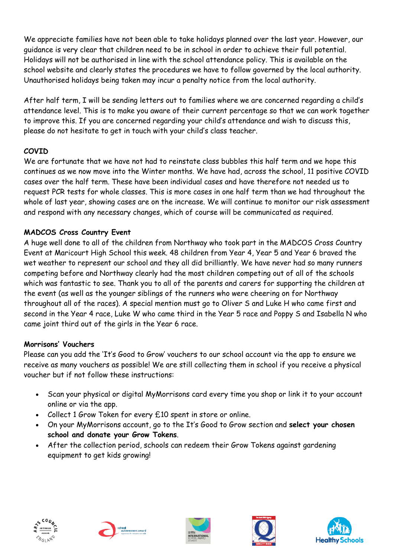We appreciate families have not been able to take holidays planned over the last year. However, our guidance is very clear that children need to be in school in order to achieve their full potential. Holidays will not be authorised in line with the school attendance policy. This is available on the school website and clearly states the procedures we have to follow governed by the local authority. Unauthorised holidays being taken may incur a penalty notice from the local authority.

After half term, I will be sending letters out to families where we are concerned regarding a child's attendance level. This is to make you aware of their current percentage so that we can work together to improve this. If you are concerned regarding your child's attendance and wish to discuss this, please do not hesitate to get in touch with your child's class teacher.

# **COVID**

We are fortunate that we have not had to reinstate class bubbles this half term and we hope this continues as we now move into the Winter months. We have had, across the school, 11 positive COVID cases over the half term. These have been individual cases and have therefore not needed us to request PCR tests for whole classes. This is more cases in one half term than we had throughout the whole of last year, showing cases are on the increase. We will continue to monitor our risk assessment and respond with any necessary changes, which of course will be communicated as required.

# **MADCOS Cross Country Event**

A huge well done to all of the children from Northway who took part in the MADCOS Cross Country Event at Maricourt High School this week. 48 children from Year 4, Year 5 and Year 6 braved the wet weather to represent our school and they all did brilliantly. We have never had so many runners competing before and Northway clearly had the most children competing out of all of the schools which was fantastic to see. Thank you to all of the parents and carers for supporting the children at the event (as well as the younger siblings of the runners who were cheering on for Northway throughout all of the races). A special mention must go to Oliver S and Luke H who came first and second in the Year 4 race, Luke W who came third in the Year 5 race and Poppy S and Isabella N who came joint third out of the girls in the Year 6 race.

#### **Morrisons' Vouchers**

Please can you add the 'It's Good to Grow' vouchers to our school account via the app to ensure we receive as many vouchers as possible! We are still collecting them in school if you receive a physical voucher but if not follow these instructions:

- Scan your physical or digital MyMorrisons card every time you shop or link it to your account online or via the app.
- Collect 1 Grow Token for every £10 spent in store or online.
- On your MyMorrisons account, go to the It's Good to Grow section and **select your chosen school and donate your Grow Tokens**.
- After the collection period, schools can redeem their Grow Tokens against gardening equipment to get kids growing!